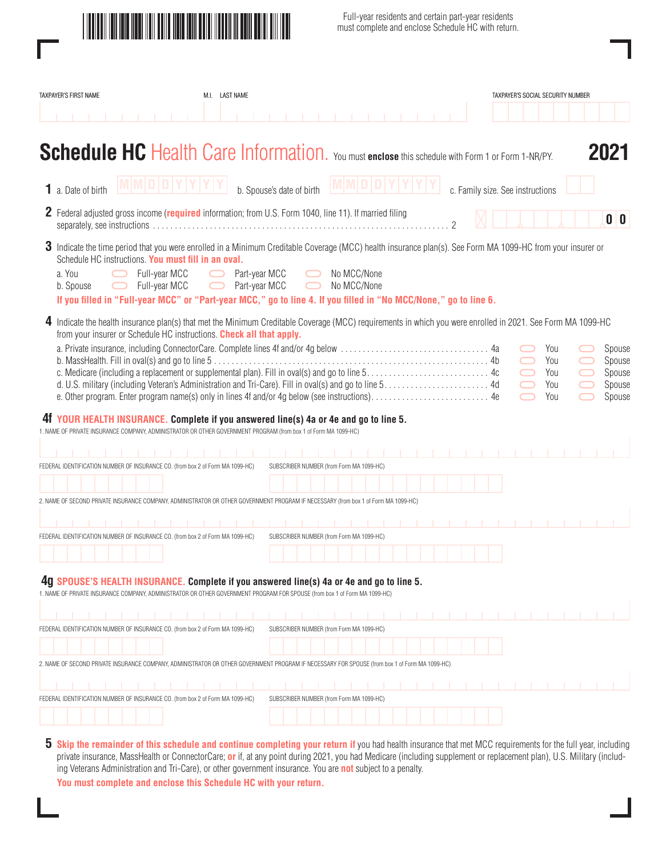

Full-year residents and certain part-year residents must complete and enclose Schedule HC with return.

| TAXPAYER'S FIRST NAME                                                                                                                                                                                                                                                                                                                                                                           | M.I. LAST NAME                           |                                          |            |                            |  |                |                                  |  | TAXPAYER'S SOCIAL SECURITY NUMBER |                               |                                                |
|-------------------------------------------------------------------------------------------------------------------------------------------------------------------------------------------------------------------------------------------------------------------------------------------------------------------------------------------------------------------------------------------------|------------------------------------------|------------------------------------------|------------|----------------------------|--|----------------|----------------------------------|--|-----------------------------------|-------------------------------|------------------------------------------------|
|                                                                                                                                                                                                                                                                                                                                                                                                 |                                          |                                          |            |                            |  |                |                                  |  |                                   |                               |                                                |
| <b>Schedule HC</b> Health Care Information. You must enclose this schedule with Form 1 or Form 1-NR/PY.                                                                                                                                                                                                                                                                                         |                                          |                                          |            |                            |  |                |                                  |  |                                   |                               | 2021                                           |
| 1 a. Date of birth                                                                                                                                                                                                                                                                                                                                                                              |                                          | b. Spouse's date of birth                |            |                            |  |                | c. Family size. See instructions |  |                                   |                               |                                                |
| <b>2</b> Federal adjusted gross income (required information; from U.S. Form 1040, line 11). If married filing                                                                                                                                                                                                                                                                                  |                                          |                                          |            |                            |  | $\mathfrak{D}$ |                                  |  |                                   |                               | 0 <sup>0</sup>                                 |
| 3 Indicate the time period that you were enrolled in a Minimum Creditable Coverage (MCC) health insurance plan(s). See Form MA 1099-HC from your insurer or<br>Schedule HC instructions. You must fill in an oval.<br>a. You<br>Full-year MCC<br>Full-year MCC<br>b. Spouse<br>If you filled in "Full-year MCC" or "Part-year MCC," go to line 4. If you filled in "No MCC/None," go to line 6. | Part-year MCC<br>Part-year MCC<br>$\Box$ |                                          | $\bigcirc$ | No MCC/None<br>No MCC/None |  |                |                                  |  |                                   |                               |                                                |
| 4 Indicate the health insurance plan(s) that met the Minimum Creditable Coverage (MCC) requirements in which you were enrolled in 2021. See Form MA 1099-HC<br>from your insurer or Schedule HC instructions. Check all that apply.                                                                                                                                                             |                                          |                                          |            |                            |  |                |                                  |  | You<br>You<br>You<br>You<br>You   | $\qquad \qquad \qquad \qquad$ | Spouse<br>Spouse<br>Spouse<br>Spouse<br>Spouse |
| 41 YOUR HEALTH INSURANCE. Complete if you answered line(s) 4a or 4e and go to line 5.<br>1. NAME OF PRIVATE INSURANCE COMPANY, ADMINISTRATOR OR OTHER GOVERNMENT PROGRAM (from box 1 of Form MA 1099-HC)                                                                                                                                                                                        |                                          |                                          |            |                            |  |                |                                  |  |                                   |                               |                                                |
| IFICATION NUMBER OF INSURANCE CO. (from box 2 of Form MA 1099-HC)                                                                                                                                                                                                                                                                                                                               |                                          |                                          |            |                            |  |                |                                  |  |                                   |                               |                                                |
|                                                                                                                                                                                                                                                                                                                                                                                                 |                                          | SUBSCRIBER NUMBER (from Form MA 1099-HC) |            |                            |  |                |                                  |  |                                   |                               |                                                |
| ISURANCE COMPANY, ADMINISTRATOR OR OTHER GOVERNMENT PROGRAM IF NECESSARY (from box 1 of Form MA 1099-HC)                                                                                                                                                                                                                                                                                        |                                          |                                          |            |                            |  |                |                                  |  |                                   |                               |                                                |
|                                                                                                                                                                                                                                                                                                                                                                                                 |                                          |                                          |            |                            |  |                |                                  |  |                                   |                               |                                                |
| IDENTIFICATION NUMBER OF INSURANCE CO. (from box 2 of Form MA 1099-HC)                                                                                                                                                                                                                                                                                                                          |                                          | SUBSCRIBER NUMBER (from Form MA 1099-HC) |            |                            |  |                |                                  |  |                                   |                               |                                                |
|                                                                                                                                                                                                                                                                                                                                                                                                 |                                          |                                          |            |                            |  |                |                                  |  |                                   |                               |                                                |
| 4q SPOUSE'S HEALTH INSURANCE. Complete if you answered line(s) 4a or 4e and go to line 5.<br>1. NAME OF PRIVATE INSURANCE COMPANY, ADMINISTRATOR OR OTHER GOVERNMENT PROGRAM FOR SPOUSE (from box 1 of Form MA 1099-HC)                                                                                                                                                                         |                                          |                                          |            |                            |  |                |                                  |  |                                   |                               |                                                |
|                                                                                                                                                                                                                                                                                                                                                                                                 |                                          |                                          |            |                            |  |                |                                  |  |                                   |                               |                                                |
| FEDERAL IDENTIFICATION NUMBER OF INSURANCE CO. (from box 2 of Form MA 1099-HC)                                                                                                                                                                                                                                                                                                                  |                                          | SUBSCRIBER NUMBER (from Form MA 1099-HC) |            |                            |  |                |                                  |  |                                   |                               |                                                |
|                                                                                                                                                                                                                                                                                                                                                                                                 |                                          |                                          |            |                            |  |                |                                  |  |                                   |                               |                                                |
| 2. NAME OF SECOND PRIVATE INSURANCE COMPANY, ADMINISTRATOR OR OTHER GOVERNMENT PROGRAM IF NECESSARY FOR SPOUSE (from box 1 of Form MA 1099-HC)                                                                                                                                                                                                                                                  |                                          |                                          |            |                            |  |                |                                  |  |                                   |                               |                                                |
|                                                                                                                                                                                                                                                                                                                                                                                                 |                                          |                                          |            |                            |  |                |                                  |  |                                   |                               |                                                |
| FEDERAL IDENTIFICATION NUMBER OF INSURANCE CO. (from box 2 of Form MA 1099-HC)                                                                                                                                                                                                                                                                                                                  |                                          | SUBSCRIBER NUMBER (from Form MA 1099-HC) |            |                            |  |                |                                  |  |                                   |                               |                                                |
|                                                                                                                                                                                                                                                                                                                                                                                                 |                                          |                                          |            |                            |  |                |                                  |  |                                   |                               |                                                |
|                                                                                                                                                                                                                                                                                                                                                                                                 |                                          |                                          |            |                            |  |                |                                  |  |                                   |                               |                                                |

**5** Skip the remainder of this schedule and continue completing your return if you had health insurance that met MCC requirements for the full year, including private insurance, MassHealth or ConnectorCare; **or** if, at any point during 2021, you had Medicare (including supplement or replacement plan), U.S. Military (including Veterans Administration and Tri-Care), or other government insurance. You are **not** subject to a penalty.

**You must complete and enclose this Schedule HC with your return.**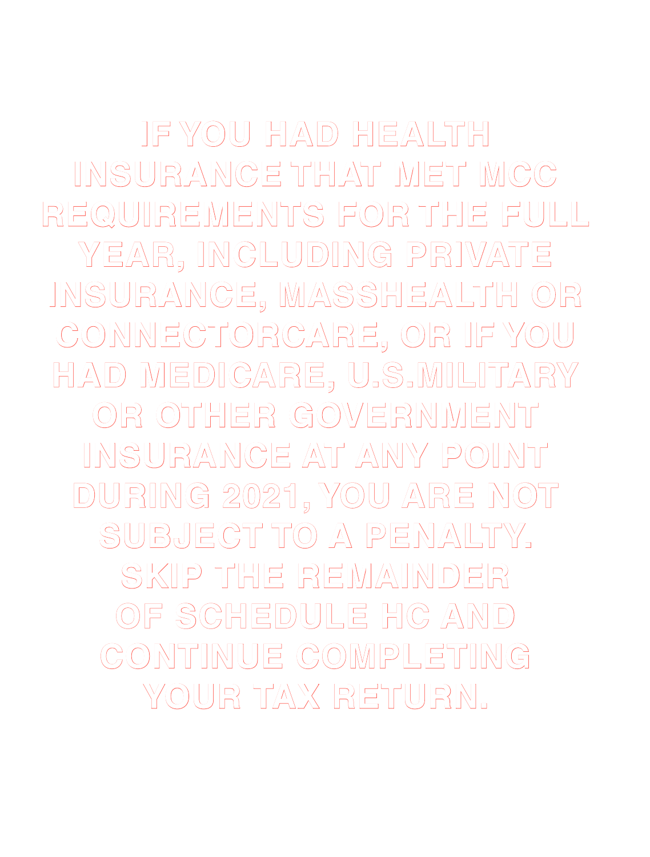**IF YOU HAD HEALTH INSURANCE THAT MET MCC REQUIREMENTS FOR THE FULL YEAR, INCLUDING PRIVATE INSURANCE, MASSHEALTH OR CONNECTORCARE, OR IF YOU HAD MEDICARE, U.S.MILITARY OR OTHER GOVERNMENT INSURANCE AT ANY POINT DURING 2021, YOU ARE NOT SUBJECT TO A PENALTY. SKIP THE REMAINDER OF SCHEDULE HC AND CONTINUE COMPLETING YOUR TAX RETURN.**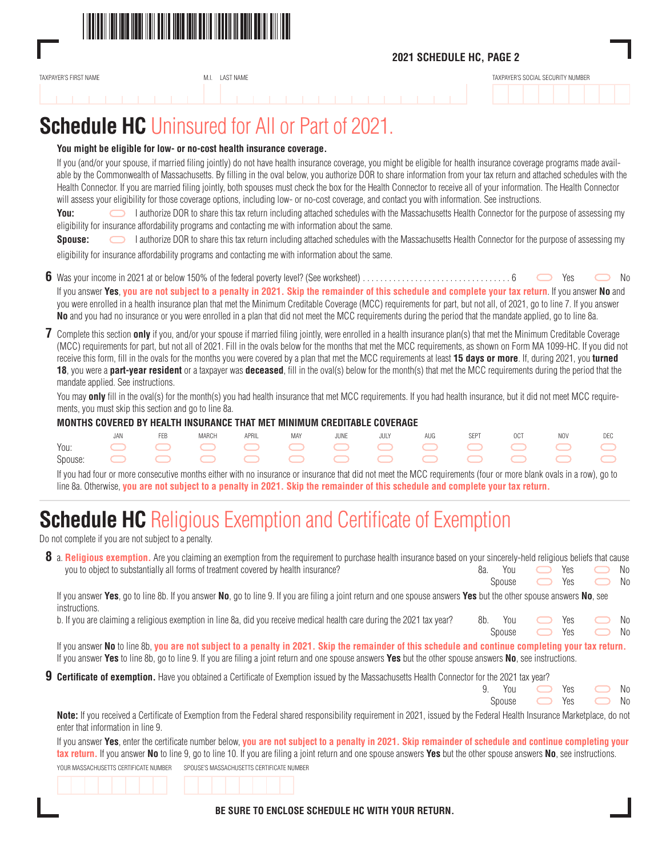

### **2021 SCHEDULE HC, PAGE 2**

| <b>FIRST NAME</b><br>TAXPAYFR'S<br>the contract of the contract of the contract of | IVI.I. | NAME <sup>-</sup> | SOCIAL SECURITY NUMBER |
|------------------------------------------------------------------------------------|--------|-------------------|------------------------|
|                                                                                    |        |                   |                        |

# **Schedule HC** Uninsured for All or Part of 2021.

### **You might be eligible for low- or no-cost health insurance coverage.** If you (and/or your spouse, if married filing jointly) do not have health insurance coverage, you might be eligible for health insurance coverage programs made available by the Commonwealth of Massachusetts. By filling in the oval below, you authorize DOR to share information from your tax return and attached schedules with the Health Connector. If you are married filing jointly, both spouses must check the box for the Health Connector to receive all of your information. The Health Connector will assess your eligibility for those coverage options, including low- or no-cost coverage, and contact you with information. See instructions. **You:** I authorize DOR to share this tax return including attached schedules with the Massachusetts Health Connector for the purpose of assessing my eligibility for insurance affordability programs and contacting me with information about the same. **Spouse:** I authorize DOR to share this tax return including attached schedules with the Massachusetts Health Connector for the purpose of assessing my eligibility for insurance affordability programs and contacting me with information about the same. **6** Was your income in 2021 at or below 150% of the federal poverty level? (See worksheet). . . 6 Yes No If you answer **Yes**, **you are not subject to a penalty in 2021. Skip the remainder of this schedule and complete your tax return**. If you answer **No** and you were enrolled in a health insurance plan that met the Minimum Creditable Coverage (MCC) requirements for part, but not all, of 2021, go to line 7. If you answer **No** and you had no insurance or you were enrolled in a plan that did not meet the MCC requirements during the period that the mandate applied, go to line 8a. **7** Complete this section **only** if you, and/or your spouse if married filing jointly, were enrolled in a health insurance plan(s) that met the Minimum Creditable Coverage (MCC) requirements for part, but not all of 2021. Fill in the ovals below for the months that met the MCC requirements, as shown on Form MA 1099-HC. If you did not receive this form, fill in the ovals for the months you were covered by a plan that met the MCC requirements at least **15 days or more**. If, during 2021, you **turned 18**, you were a **part-year resident** or a taxpayer was **deceased**, fill in the oval(s) below for the month(s) that met the MCC requirements during the period that the mandate applied. See instructions.

You may **only** fill in the oval(s) for the month(s) you had health insurance that met MCC requirements. If you had health insurance, but it did not meet MCC requirements, you must skip this section and go to line 8a.

### **MONTHS COVERED BY HEALTH INSURANCE THAT MET MINIMUM CREDITABLE COVERAGE**

|  | <b>FFB</b> | <b>MARCH</b> |  |  | APRIL MAY JUNE JULY AUG SEPT OCT NOV DEC |  |  |
|--|------------|--------------|--|--|------------------------------------------|--|--|
|  |            |              |  |  |                                          |  |  |
|  |            |              |  |  |                                          |  |  |

 If you had four or more consecutive months either with no insurance or insurance that did not meet the MCC requirements (four or more blank ovals in a row), go to line 8a. Otherwise, **you are not subject to a penalty in 2021. Skip the remainder of this schedule and complete your tax return.**

### **Schedule HC** Religious Exemption and Certificate of Exemption

Do not complete if you are not subject to a penalty.

| 8 a. Religious exemption. Are you claiming an exemption from the requirement to purchase health insurance based on your sincerely-held religious beliefs that cause |  |                             |  |  |
|---------------------------------------------------------------------------------------------------------------------------------------------------------------------|--|-----------------------------|--|--|
| you to object to substantially all forms of treatment covered by health insurance?                                                                                  |  | 8a. You • Yes • No          |  |  |
|                                                                                                                                                                     |  | Spouse $\Box$ Yes $\Box$ No |  |  |

 If you answer **Yes**, go to line 8b. If you answer **No**, go to line 9. If you are filing a joint return and one spouse answers **Yes** but the other spouse answers **No**, see instructions.

spouse  $\sim$  Yes  $\sim$  No

| b. If you are claiming a religious exemption in line 8a, did you receive medical health care during the 2021 tax year? 8b. You C Yes C No |  |  |  |  |
|-------------------------------------------------------------------------------------------------------------------------------------------|--|--|--|--|
|-------------------------------------------------------------------------------------------------------------------------------------------|--|--|--|--|

 If you answer **No** to line 8b, **you are not subject to a penalty in 2021. Skip the remainder of this schedule and continue completing your tax return.** If you answer **Yes** to line 8b, go to line 9. If you are filing a joint return and one spouse answers **Yes** but the other spouse answers **No**, see instructions.

**9 Certificate of exemption.** Have you obtained a Certificate of Exemption issued by the Massachusetts Health Connector for the 2021 tax year?

|  | 9. You • Yes • No |  |  |
|--|-------------------|--|--|
|  | Spouse • Yes • No |  |  |

 **Note:** If you received a Certificate of Exemption from the Federal shared responsibility requirement in 2021, issued by the Federal Health Insurance Marketplace, do not enter that information in line 9.

 If you answer **Yes**, enter the certificate number below, **you are not subject to a penalty in 2021. Skip remainder of schedule and continue completing your tax return.** If you answer **No** to line 9, go to line 10. If you are filing a joint return and one spouse answers **Yes** but the other spouse answers **No**, see instructions. YOUR MASSACHUSETTS CERTIFICATE NUMBER SPOUSE'S MASSACHUSETTS CERTIFICATE NUMBER



**BE SURE TO ENCLOSE SCHEDULE HC WITH YOUR RETURN.**